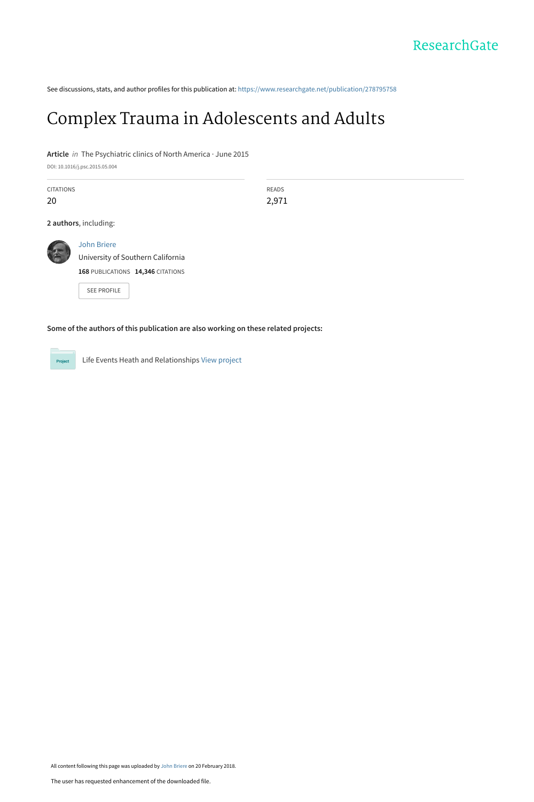See discussions, stats, and author profiles for this publication at: [https://www.researchgate.net/publication/278795758](https://www.researchgate.net/publication/278795758_Complex_Trauma_in_Adolescents_and_Adults?enrichId=rgreq-67305beff3576328bf16c6c7ba968236-XXX&enrichSource=Y292ZXJQYWdlOzI3ODc5NTc1ODtBUzo1OTYwMTY4MjI3NTEyMzNAMTUxOTExMjg5MjgxMw%3D%3D&el=1_x_2&_esc=publicationCoverPdf)

## [Complex Trauma in Adolescents and Adults](https://www.researchgate.net/publication/278795758_Complex_Trauma_in_Adolescents_and_Adults?enrichId=rgreq-67305beff3576328bf16c6c7ba968236-XXX&enrichSource=Y292ZXJQYWdlOzI3ODc5NTc1ODtBUzo1OTYwMTY4MjI3NTEyMzNAMTUxOTExMjg5MjgxMw%3D%3D&el=1_x_3&_esc=publicationCoverPdf)

**Article** in The Psychiatric clinics of North America · June 2015

DOI: 10.1016/j.psc.2015.05.004

| <b>CITATIONS</b> |                                                         | <b>READS</b> |  |
|------------------|---------------------------------------------------------|--------------|--|
| 20               |                                                         | 2,971        |  |
|                  | 2 authors, including:                                   |              |  |
|                  | <b>John Briere</b><br>University of Southern California |              |  |
|                  | 168 PUBLICATIONS 14,346 CITATIONS                       |              |  |
|                  | <b>SEE PROFILE</b>                                      |              |  |
|                  |                                                         |              |  |

**Some of the authors of this publication are also working on these related projects:**



Life Events Heath and Relationships [View project](https://www.researchgate.net/project/Life-Events-Heath-and-Relationships?enrichId=rgreq-67305beff3576328bf16c6c7ba968236-XXX&enrichSource=Y292ZXJQYWdlOzI3ODc5NTc1ODtBUzo1OTYwMTY4MjI3NTEyMzNAMTUxOTExMjg5MjgxMw%3D%3D&el=1_x_9&_esc=publicationCoverPdf)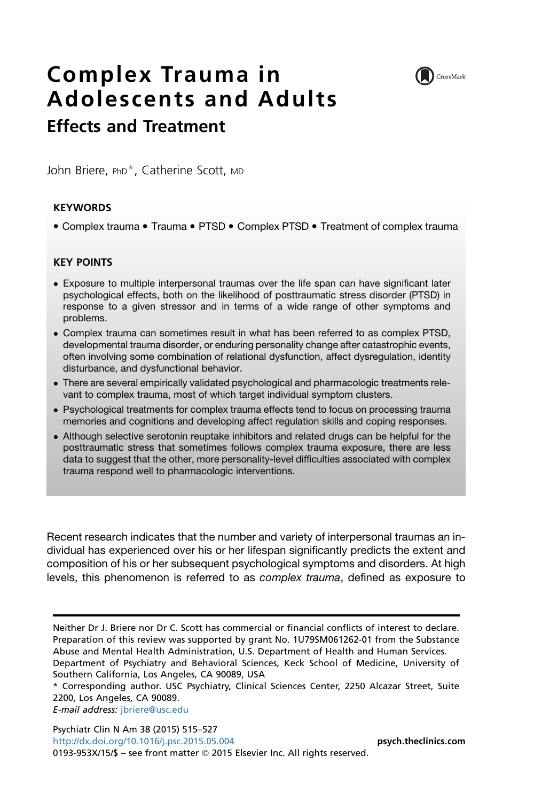

# Complex Trauma in Adolescents and Adults Effects and Treatment

John Briere, PhD<sup>\*</sup>, Catherine Scott, MD

## **KEYWORDS**

• Complex trauma • Trauma • PTSD • Complex PTSD • Treatment of complex trauma

## KEY POINTS

- Exposure to multiple interpersonal traumas over the life span can have significant later psychological effects, both on the likelihood of posttraumatic stress disorder (PTSD) in response to a given stressor and in terms of a wide range of other symptoms and problems.
- Complex trauma can sometimes result in what has been referred to as complex PTSD, developmental trauma disorder, or enduring personality change after catastrophic events, often involving some combination of relational dysfunction, affect dysregulation, identity disturbance, and dysfunctional behavior.
- There are several empirically validated psychological and pharmacologic treatments relevant to complex trauma, most of which target individual symptom clusters.
- Psychological treatments for complex trauma effects tend to focus on processing trauma memories and cognitions and developing affect regulation skills and coping responses.
- Although selective serotonin reuptake inhibitors and related drugs can be helpful for the posttraumatic stress that sometimes follows complex trauma exposure, there are less data to suggest that the other, more personality-level difficulties associated with complex trauma respond well to pharmacologic interventions.

Recent research indicates that the number and variety of interpersonal traumas an individual has experienced over his or her lifespan significantly predicts the extent and composition of his or her subsequent psychological symptoms and disorders. At high levels, this phenomenon is referred to as *complex trauma*, defined as exposure to

E-mail address: [jbriere@usc.edu](mailto:jbriere@usc.edu)

Psychiatr Clin N Am 38 (2015) 515–527 <http://dx.doi.org/10.1016/j.psc.2015.05.004> **[psych.theclinics.com](http://psych.theclinics.com)** 0193-953X/15/\$ – see front matter 2015 Elsevier Inc. All rights reserved.

Neither Dr J. Briere nor Dr C. Scott has commercial or financial conflicts of interest to declare. Preparation of this review was supported by grant No. 1U79SM061262-01 from the Substance Abuse and Mental Health Administration, U.S. Department of Health and Human Services. Department of Psychiatry and Behavioral Sciences, Keck School of Medicine, University of Southern California, Los Angeles, CA 90089, USA

<sup>\*</sup> Corresponding author. USC Psychiatry, Clinical Sciences Center, 2250 Alcazar Street, Suite 2200, Los Angeles, CA 90089.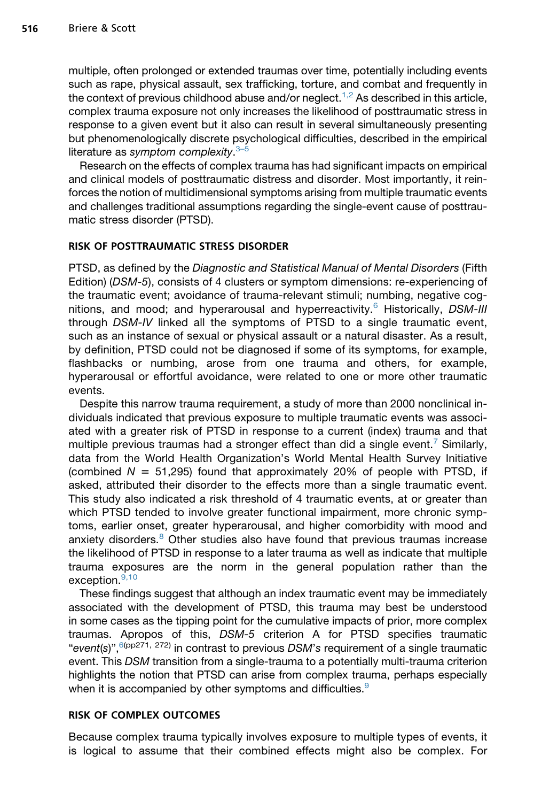multiple, often prolonged or extended traumas over time, potentially including events such as rape, physical assault, sex trafficking, torture, and combat and frequently in the context of previous childhood abuse and/or neglect.<sup>[1,2](#page-8-0)</sup> As described in this article, complex trauma exposure not only increases the likelihood of posttraumatic stress in response to a given event but it also can result in several simultaneously presenting but phenomenologically discrete psychological difficulties, described in the empirical literature as *symptom complexity*. [3–5](#page-8-0)

Research on the effects of complex trauma has had significant impacts on empirical and clinical models of posttraumatic distress and disorder. Most importantly, it reinforces the notion of multidimensional symptoms arising from multiple traumatic events and challenges traditional assumptions regarding the single-event cause of posttraumatic stress disorder (PTSD).

## RISK OF POSTTRAUMATIC STRESS DISORDER

PTSD, as defined by the *Diagnostic and Statistical Manual of Mental Disorders* (Fifth Edition) (*DSM-5*), consists of 4 clusters or symptom dimensions: re-experiencing of the traumatic event; avoidance of trauma-relevant stimuli; numbing, negative cognitions, and mood; and hyperarousal and hyperreactivity.[6](#page-8-0) Historically, *DSM-III* through *DSM-IV* linked all the symptoms of PTSD to a single traumatic event, such as an instance of sexual or physical assault or a natural disaster. As a result, by definition, PTSD could not be diagnosed if some of its symptoms, for example, flashbacks or numbing, arose from one trauma and others, for example, hyperarousal or effortful avoidance, were related to one or more other traumatic events.

Despite this narrow trauma requirement, a study of more than 2000 nonclinical individuals indicated that previous exposure to multiple traumatic events was associated with a greater risk of PTSD in response to a current (index) trauma and that multiple previous traumas had a stronger effect than did a single event.<sup>[7](#page-8-0)</sup> Similarly, data from the World Health Organization's World Mental Health Survey Initiative (combined  $N = 51,295$ ) found that approximately 20% of people with PTSD, if asked, attributed their disorder to the effects more than a single traumatic event. This study also indicated a risk threshold of 4 traumatic events, at or greater than which PTSD tended to involve greater functional impairment, more chronic symptoms, earlier onset, greater hyperarousal, and higher comorbidity with mood and anxiety disorders. $8$  Other studies also have found that previous traumas increase the likelihood of PTSD in response to a later trauma as well as indicate that multiple trauma exposures are the norm in the general population rather than the exception.<sup>[9,10](#page-8-0)</sup>

These findings suggest that although an index traumatic event may be immediately associated with the development of PTSD, this trauma may best be understood in some cases as the tipping point for the cumulative impacts of prior, more complex traumas. Apropos of this, *DSM-5* criterion A for PTSD specifies traumatic "*event(s)*",<sup>6(pp271, 272)</sup> in contrast to previous DSM's requirement of a single traumatic event. This *DSM* transition from a single-trauma to a potentially multi-trauma criterion highlights the notion that PTSD can arise from complex trauma, perhaps especially when it is accompanied by other symptoms and difficulties.<sup>[9](#page-8-0)</sup>

### RISK OF COMPLEX OUTCOMES

Because complex trauma typically involves exposure to multiple types of events, it is logical to assume that their combined effects might also be complex. For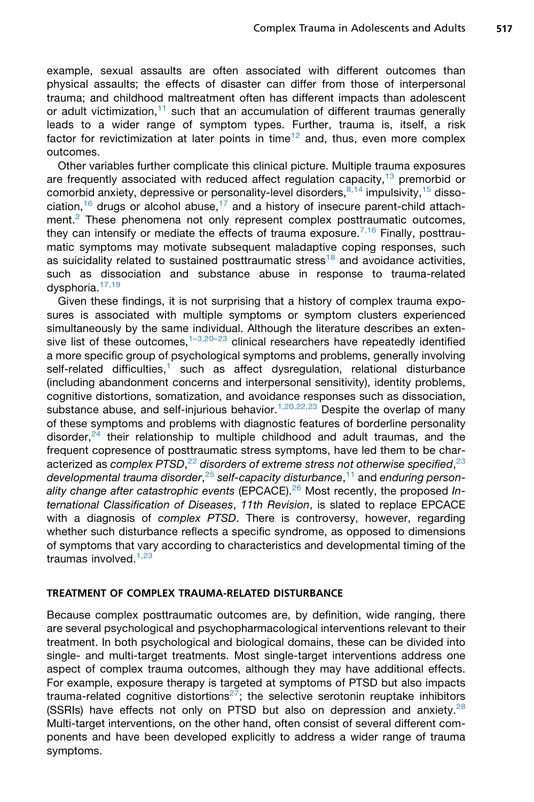example, sexual assaults are often associated with different outcomes than physical assaults; the effects of disaster can differ from those of interpersonal trauma; and childhood maltreatment often has different impacts than adolescent or adult victimization,<sup>[11](#page-9-0)</sup> such that an accumulation of different traumas generally leads to a wider range of symptom types. Further, trauma is, itself, a risk factor for revictimization at later points in time<sup>[12](#page-9-0)</sup> and, thus, even more complex outcomes.

Other variables further complicate this clinical picture. Multiple trauma exposures are frequently associated with reduced affect regulation capacity, $13$  premorbid or comorbid anxiety, depressive or personality-level disorders,  $8,14$  impulsivity,  $15$  disso-ciation,<sup>[16](#page-9-0)</sup> drugs or alcohol abuse,<sup>[17](#page-9-0)</sup> and a history of insecure parent-child attach-ment.<sup>[2](#page-8-0)</sup> These phenomena not only represent complex posttraumatic outcomes, they can intensify or mediate the effects of trauma exposure.<sup>[7,16](#page-8-0)</sup> Finally, posttraumatic symptoms may motivate subsequent maladaptive coping responses, such as suicidality related to sustained posttraumatic stress<sup>[18](#page-9-0)</sup> and avoidance activities, such as dissociation and substance abuse in response to trauma-related dysphoria.<sup>[17,19](#page-9-0)</sup>

Given these findings, it is not surprising that a history of complex trauma exposures is associated with multiple symptoms or symptom clusters experienced simultaneously by the same individual. Although the literature describes an extensive list of these outcomes, $1-3,20-23$  clinical researchers have repeatedly identified a more specific group of psychological symptoms and problems, generally involving self-related difficulties, $<sup>1</sup>$  $<sup>1</sup>$  $<sup>1</sup>$  such as affect dysregulation, relational disturbance</sup> (including abandonment concerns and interpersonal sensitivity), identity problems, cognitive distortions, somatization, and avoidance responses such as dissociation, substance abuse, and self-injurious behavior.<sup>[1,20,22,23](#page-8-0)</sup> Despite the overlap of many of these symptoms and problems with diagnostic features of borderline personality disorder, $24$  their relationship to multiple childhood and adult traumas, and the frequent copresence of posttraumatic stress symptoms, have led them to be characterized as *complex PTSD*, [22](#page-9-0) *disorders of extreme stress not otherwise specified*, [23](#page-9-0) *developmental trauma disorder*, [25](#page-9-0) *self-capacity disturbance*, [11](#page-9-0) and *enduring personality change after catastrophic events* (EPCACE).[26](#page-9-0) Most recently, the proposed *International Classification of Diseases*, *11th Revision*, is slated to replace EPCACE with a diagnosis of *complex PTSD*. There is controversy, however, regarding whether such disturbance reflects a specific syndrome, as opposed to dimensions of symptoms that vary according to characteristics and developmental timing of the traumas involved. $1,23$ 

## TREATMENT OF COMPLEX TRAUMA-RELATED DISTURBANCE

Because complex posttraumatic outcomes are, by definition, wide ranging, there are several psychological and psychopharmacological interventions relevant to their treatment. In both psychological and biological domains, these can be divided into single- and multi-target treatments. Most single-target interventions address one aspect of complex trauma outcomes, although they may have additional effects. For example, exposure therapy is targeted at symptoms of PTSD but also impacts trauma-related cognitive distortions<sup>[27](#page-9-0)</sup>; the selective serotonin reuptake inhibitors (SSRIs) have effects not only on PTSD but also on depression and anxiety. $^{28}$  $^{28}$  $^{28}$ Multi-target interventions, on the other hand, often consist of several different components and have been developed explicitly to address a wider range of trauma symptoms.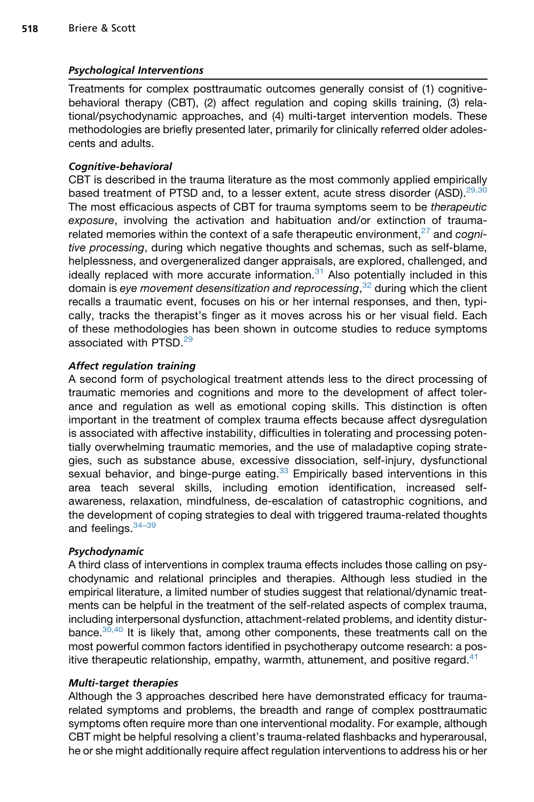## Psychological Interventions

Treatments for complex posttraumatic outcomes generally consist of (1) cognitivebehavioral therapy (CBT), (2) affect regulation and coping skills training, (3) relational/psychodynamic approaches, and (4) multi-target intervention models. These methodologies are briefly presented later, primarily for clinically referred older adolescents and adults.

## Cognitive-behavioral

CBT is described in the trauma literature as the most commonly applied empirically based treatment of PTSD and, to a lesser extent, acute stress disorder  $(ASD)$ <sup>[29,30](#page-10-0)</sup> The most efficacious aspects of CBT for trauma symptoms seem to be *therapeutic exposure*, involving the activation and habituation and/or extinction of trauma-related memories within the context of a safe therapeutic environment,<sup>[27](#page-9-0)</sup> and *cognitive processing*, during which negative thoughts and schemas, such as self-blame, helplessness, and overgeneralized danger appraisals, are explored, challenged, and ideally replaced with more accurate information. $31$  Also potentially included in this domain is *eye movement desensitization and reprocessing*, [32](#page-10-0) during which the client recalls a traumatic event, focuses on his or her internal responses, and then, typically, tracks the therapist's finger as it moves across his or her visual field. Each of these methodologies has been shown in outcome studies to reduce symptoms associated with PTSD<sup>[29](#page-10-0)</sup>

## Affect regulation training

A second form of psychological treatment attends less to the direct processing of traumatic memories and cognitions and more to the development of affect tolerance and regulation as well as emotional coping skills. This distinction is often important in the treatment of complex trauma effects because affect dysregulation is associated with affective instability, difficulties in tolerating and processing potentially overwhelming traumatic memories, and the use of maladaptive coping strategies, such as substance abuse, excessive dissociation, self-injury, dysfunctional sexual behavior, and binge-purge eating. $33$  Empirically based interventions in this area teach several skills, including emotion identification, increased selfawareness, relaxation, mindfulness, de-escalation of catastrophic cognitions, and the development of coping strategies to deal with triggered trauma-related thoughts and feelings.  $34-39$ 

## Psychodynamic

A third class of interventions in complex trauma effects includes those calling on psychodynamic and relational principles and therapies. Although less studied in the empirical literature, a limited number of studies suggest that relational/dynamic treatments can be helpful in the treatment of the self-related aspects of complex trauma, including interpersonal dysfunction, attachment-related problems, and identity disturbance.[30,40](#page-10-0) It is likely that, among other components, these treatments call on the most powerful common factors identified in psychotherapy outcome research: a positive therapeutic relationship, empathy, warmth, attunement, and positive regard. $41$ 

## Multi-target therapies

Although the 3 approaches described here have demonstrated efficacy for traumarelated symptoms and problems, the breadth and range of complex posttraumatic symptoms often require more than one interventional modality. For example, although CBT might be helpful resolving a client's trauma-related flashbacks and hyperarousal, he or she might additionally require affect regulation interventions to address his or her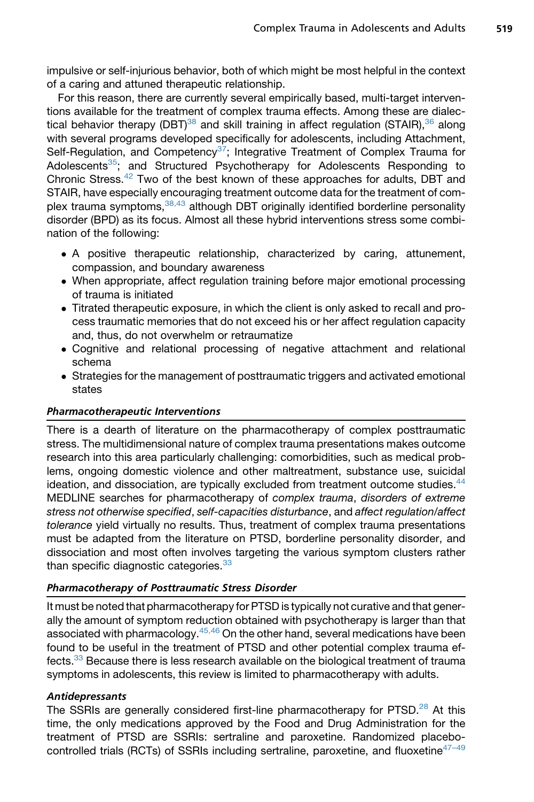impulsive or self-injurious behavior, both of which might be most helpful in the context of a caring and attuned therapeutic relationship.

For this reason, there are currently several empirically based, multi-target interventions available for the treatment of complex trauma effects. Among these are dialectical behavior therapy (DBT)<sup>38</sup> and skill training in affect regulation (STAIR),  $36$  along with several programs developed specifically for adolescents, including Attachment, Self-Regulation, and Competency<sup>[37](#page-10-0)</sup>; Integrative Treatment of Complex Trauma for Adolescents<sup>35</sup>; and Structured Psychotherapy for Adolescents Responding to Chronic Stress.<sup>42</sup> Two of the best known of these approaches for adults, DBT and STAIR, have especially encouraging treatment outcome data for the treatment of complex trauma symptoms, 38,43 although DBT originally identified borderline personality disorder (BPD) as its focus. Almost all these hybrid interventions stress some combination of the following:

- A positive therapeutic relationship, characterized by caring, attunement, compassion, and boundary awareness
- When appropriate, affect regulation training before major emotional processing of trauma is initiated
- Titrated therapeutic exposure, in which the client is only asked to recall and process traumatic memories that do not exceed his or her affect regulation capacity and, thus, do not overwhelm or retraumatize
- Cognitive and relational processing of negative attachment and relational schema
- Strategies for the management of posttraumatic triggers and activated emotional states

## Pharmacotherapeutic Interventions

There is a dearth of literature on the pharmacotherapy of complex posttraumatic stress. The multidimensional nature of complex trauma presentations makes outcome research into this area particularly challenging: comorbidities, such as medical problems, ongoing domestic violence and other maltreatment, substance use, suicidal ideation, and dissociation, are typically excluded from treatment outcome studies.<sup>[44](#page-10-0)</sup> MEDLINE searches for pharmacotherapy of *complex trauma*, *disorders of extreme stress not otherwise specified*, *self-capacities disturbance*, and *affect regulation/affect tolerance* yield virtually no results. Thus, treatment of complex trauma presentations must be adapted from the literature on PTSD, borderline personality disorder, and dissociation and most often involves targeting the various symptom clusters rather than specific diagnostic categories. $33$ 

## Pharmacotherapy of Posttraumatic Stress Disorder

It must be noted that pharmacotherapy for PTSD is typically not curative and that generally the amount of symptom reduction obtained with psychotherapy is larger than that associated with pharmacology. $45,46$  On the other hand, several medications have been found to be useful in the treatment of PTSD and other potential complex trauma ef-fects.<sup>[33](#page-10-0)</sup> Because there is less research available on the biological treatment of trauma symptoms in adolescents, this review is limited to pharmacotherapy with adults.

## Antidepressants

The SSRIs are generally considered first-line pharmacotherapy for PTSD.<sup>[28](#page-9-0)</sup> At this time, the only medications approved by the Food and Drug Administration for the treatment of PTSD are SSRIs: sertraline and paroxetine. Randomized placebocontrolled trials (RCTs) of SSRIs including sertraline, paroxetine, and fluoxetine $47-49$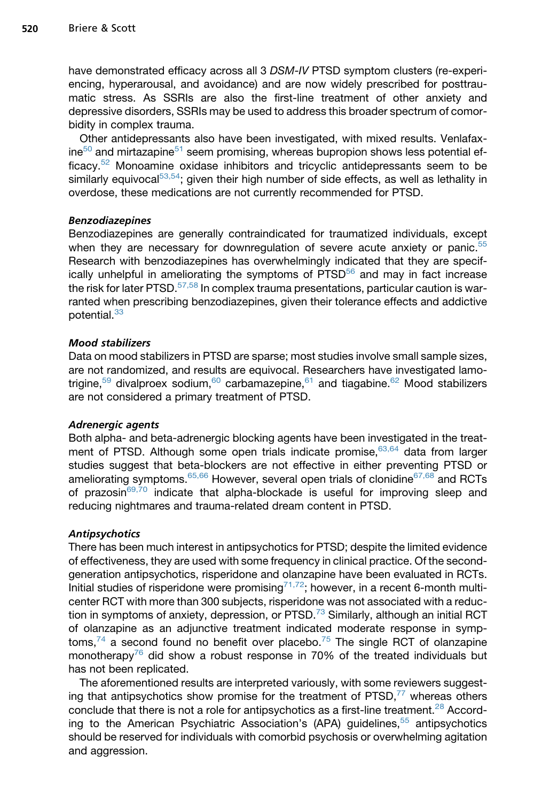have demonstrated efficacy across all 3 *DSM-IV* PTSD symptom clusters (re-experiencing, hyperarousal, and avoidance) and are now widely prescribed for posttraumatic stress. As SSRIs are also the first-line treatment of other anxiety and depressive disorders, SSRIs may be used to address this broader spectrum of comorbidity in complex trauma.

Other antidepressants also have been investigated, with mixed results. Venlafax $ine<sup>50</sup>$  and mirtazapine<sup>[51](#page-11-0)</sup> seem promising, whereas bupropion shows less potential efficacy.[52](#page-11-0) Monoamine oxidase inhibitors and tricyclic antidepressants seem to be similarly equivocal $53,54$ ; given their high number of side effects, as well as lethality in overdose, these medications are not currently recommended for PTSD.

## Benzodiazepines

Benzodiazepines are generally contraindicated for traumatized individuals, except when they are necessary for downregulation of severe acute anxiety or panic.<sup>[55](#page-11-0)</sup> Research with benzodiazepines has overwhelmingly indicated that they are specif-ically unhelpful in ameliorating the symptoms of PTSD<sup>[56](#page-11-0)</sup> and may in fact increase the risk for later PTSD. $57,58$  In complex trauma presentations, particular caution is warranted when prescribing benzodiazepines, given their tolerance effects and addictive potential.<sup>[33](#page-10-0)</sup>

## Mood stabilizers

Data on mood stabilizers in PTSD are sparse; most studies involve small sample sizes, are not randomized, and results are equivocal. Researchers have investigated lamo-trigine,<sup>[59](#page-11-0)</sup> divalproex sodium,<sup>[60](#page-11-0)</sup> carbamazepine,<sup>[61](#page-11-0)</sup> and tiagabine.<sup>[62](#page-11-0)</sup> Mood stabilizers are not considered a primary treatment of PTSD.

## Adrenergic agents

Both alpha- and beta-adrenergic blocking agents have been investigated in the treat-ment of PTSD. Although some open trials indicate promise, [63,64](#page-11-0) data from larger studies suggest that beta-blockers are not effective in either preventing PTSD or ameliorating symptoms.<sup>[65,66](#page-12-0)</sup> However, several open trials of clonidine<sup>[67,68](#page-12-0)</sup> and RCTs of prazosin<sup>[69,70](#page-12-0)</sup> indicate that alpha-blockade is useful for improving sleep and reducing nightmares and trauma-related dream content in PTSD.

## **Antipsychotics**

There has been much interest in antipsychotics for PTSD; despite the limited evidence of effectiveness, they are used with some frequency in clinical practice. Of the secondgeneration antipsychotics, risperidone and olanzapine have been evaluated in RCTs. Initial studies of risperidone were promising<sup>[71,72](#page-12-0)</sup>; however, in a recent 6-month multicenter RCT with more than 300 subjects, risperidone was not associated with a reduction in symptoms of anxiety, depression, or PTSD. $^{73}$  $^{73}$  $^{73}$  Similarly, although an initial RCT of olanzapine as an adjunctive treatment indicated moderate response in symptoms, $74$  a second found no benefit over placebo.<sup>[75](#page-12-0)</sup> The single RCT of olanzapine monotherapy<sup>[76](#page-12-0)</sup> did show a robust response in 70% of the treated individuals but has not been replicated.

The aforementioned results are interpreted variously, with some reviewers suggesting that antipsychotics show promise for the treatment of  $PTSD<sup>77</sup>$  $PTSD<sup>77</sup>$  $PTSD<sup>77</sup>$  whereas others conclude that there is not a role for antipsychotics as a first-line treatment.<sup>[28](#page-9-0)</sup> Accord-ing to the American Psychiatric Association's (APA) guidelines,<sup>[55](#page-11-0)</sup> antipsychotics should be reserved for individuals with comorbid psychosis or overwhelming agitation and aggression.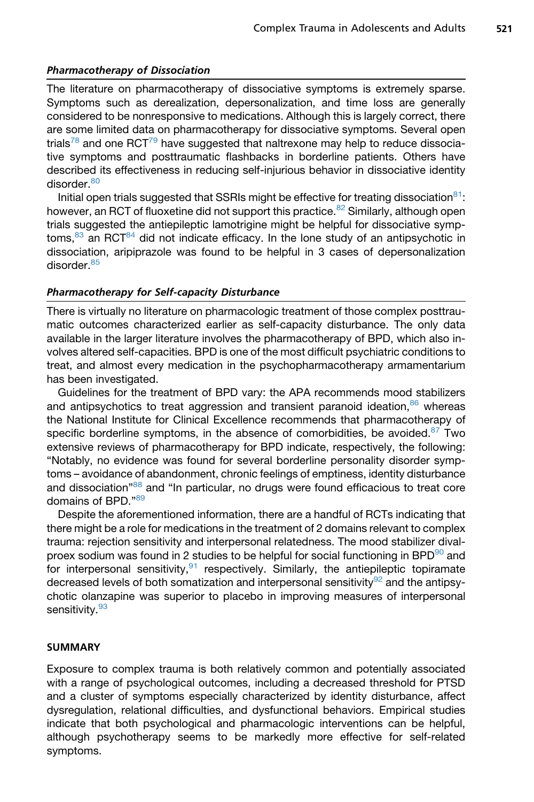## Pharmacotherapy of Dissociation

The literature on pharmacotherapy of dissociative symptoms is extremely sparse. Symptoms such as derealization, depersonalization, and time loss are generally considered to be nonresponsive to medications. Although this is largely correct, there are some limited data on pharmacotherapy for dissociative symptoms. Several open trials<sup>[78](#page-12-0)</sup> and one RCT<sup>[79](#page-12-0)</sup> have suggested that naltrexone may help to reduce dissociative symptoms and posttraumatic flashbacks in borderline patients. Others have described its effectiveness in reducing self-injurious behavior in dissociative identity disorder.<sup>[80](#page-12-0)</sup>

Initial open trials suggested that SSRIs might be effective for treating dissociation $81$ : however, an RCT of fluoxetine did not support this practice.<sup>[82](#page-12-0)</sup> Similarly, although open trials suggested the antiepileptic lamotrigine might be helpful for dissociative symp $t$ oms, $83$  an RCT $84$  did not indicate efficacy. In the lone study of an antipsychotic in dissociation, aripiprazole was found to be helpful in 3 cases of depersonalization disorder.<sup>[85](#page-13-0)</sup>

## Pharmacotherapy for Self-capacity Disturbance

There is virtually no literature on pharmacologic treatment of those complex posttraumatic outcomes characterized earlier as self-capacity disturbance. The only data available in the larger literature involves the pharmacotherapy of BPD, which also involves altered self-capacities. BPD is one of the most difficult psychiatric conditions to treat, and almost every medication in the psychopharmacotherapy armamentarium has been investigated.

Guidelines for the treatment of BPD vary: the APA recommends mood stabilizers and antipsychotics to treat aggression and transient paranoid ideation, $86$  whereas the National Institute for Clinical Excellence recommends that pharmacotherapy of specific borderline symptoms, in the absence of comorbidities, be avoided. $87$  Two extensive reviews of pharmacotherapy for BPD indicate, respectively, the following: "Notably, no evidence was found for several borderline personality disorder symptoms – avoidance of abandonment, chronic feelings of emptiness, identity disturbance and dissociation"<sup>[88](#page-13-0)</sup> and "In particular, no drugs were found efficacious to treat core domains of BPD.["89](#page-13-0)

Despite the aforementioned information, there are a handful of RCTs indicating that there might be a role for medications in the treatment of 2 domains relevant to complex trauma: rejection sensitivity and interpersonal relatedness. The mood stabilizer divalproex sodium was found in 2 studies to be helpful for social functioning in BPD $90$  and for interpersonal sensitivity,  $91$  respectively. Similarly, the antiepileptic topiramate decreased levels of both somatization and interpersonal sensitivity<sup>[92](#page-13-0)</sup> and the antipsychotic olanzapine was superior to placebo in improving measures of interpersonal sensitivity.<sup>[93](#page-13-0)</sup>

## SUMMARY

Exposure to complex trauma is both relatively common and potentially associated with a range of psychological outcomes, including a decreased threshold for PTSD and a cluster of symptoms especially characterized by identity disturbance, affect dysregulation, relational difficulties, and dysfunctional behaviors. Empirical studies indicate that both psychological and pharmacologic interventions can be helpful, although psychotherapy seems to be markedly more effective for self-related symptoms.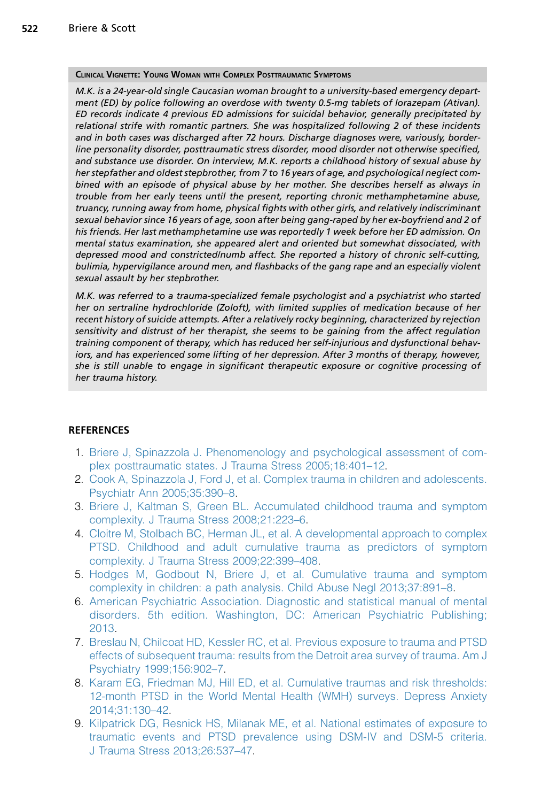#### <span id="page-8-0"></span>CLINICAL VIGNETTE: YOUNG WOMAN WITH COMPLEX POSTTRAUMATIC SYMPTOMS

M.K. is a 24-year-old single Caucasian woman brought to a university-based emergency department (ED) by police following an overdose with twenty 0.5-mg tablets of lorazepam (Ativan). ED records indicate 4 previous ED admissions for suicidal behavior, generally precipitated by relational strife with romantic partners. She was hospitalized following 2 of these incidents and in both cases was discharged after 72 hours. Discharge diagnoses were, variously, borderline personality disorder, posttraumatic stress disorder, mood disorder not otherwise specified, and substance use disorder. On interview, M.K. reports a childhood history of sexual abuse by her stepfather and oldest stepbrother, from 7 to 16 years of age, and psychological neglect combined with an episode of physical abuse by her mother. She describes herself as always in trouble from her early teens until the present, reporting chronic methamphetamine abuse, truancy, running away from home, physical fights with other girls, and relatively indiscriminant sexual behavior since 16 years of age, soon after being gang-raped by her ex-boyfriend and 2 of his friends. Her last methamphetamine use was reportedly 1 week before her ED admission. On mental status examination, she appeared alert and oriented but somewhat dissociated, with depressed mood and constricted/numb affect. She reported a history of chronic self-cutting, bulimia, hypervigilance around men, and flashbacks of the gang rape and an especially violent sexual assault by her stepbrother.

M.K. was referred to a trauma-specialized female psychologist and a psychiatrist who started her on sertraline hydrochloride (Zoloft), with limited supplies of medication because of her recent history of suicide attempts. After a relatively rocky beginning, characterized by rejection sensitivity and distrust of her therapist, she seems to be gaining from the affect regulation training component of therapy, which has reduced her self-injurious and dysfunctional behaviors, and has experienced some lifting of her depression. After 3 months of therapy, however, she is still unable to engage in significant therapeutic exposure or cognitive processing of her trauma history.

## REFERENCES

- 1. [Briere J, Spinazzola J. Phenomenology and psychological assessment of com](http://refhub.elsevier.com/S0193-953X(15)00049-0/sref1)[plex posttraumatic states. J Trauma Stress 2005;18:401–12](http://refhub.elsevier.com/S0193-953X(15)00049-0/sref1).
- 2. [Cook A, Spinazzola J, Ford J, et al. Complex trauma in children and adolescents.](http://refhub.elsevier.com/S0193-953X(15)00049-0/sref2) [Psychiatr Ann 2005;35:390–8](http://refhub.elsevier.com/S0193-953X(15)00049-0/sref2).
- 3. [Briere J, Kaltman S, Green BL. Accumulated childhood trauma and symptom](http://refhub.elsevier.com/S0193-953X(15)00049-0/sref3) [complexity. J Trauma Stress 2008;21:223–6](http://refhub.elsevier.com/S0193-953X(15)00049-0/sref3).
- 4. [Cloitre M, Stolbach BC, Herman JL, et al. A developmental approach to complex](http://refhub.elsevier.com/S0193-953X(15)00049-0/sref4) [PTSD. Childhood and adult cumulative trauma as predictors of symptom](http://refhub.elsevier.com/S0193-953X(15)00049-0/sref4) [complexity. J Trauma Stress 2009;22:399–408](http://refhub.elsevier.com/S0193-953X(15)00049-0/sref4).
- 5. [Hodges M, Godbout N, Briere J, et al. Cumulative trauma and symptom](http://refhub.elsevier.com/S0193-953X(15)00049-0/sref5) [complexity in children: a path analysis. Child Abuse Negl 2013;37:891–8](http://refhub.elsevier.com/S0193-953X(15)00049-0/sref5).
- 6. [American Psychiatric Association. Diagnostic and statistical manual of mental](http://refhub.elsevier.com/S0193-953X(15)00049-0/sref6) [disorders. 5th edition. Washington, DC: American Psychiatric Publishing;](http://refhub.elsevier.com/S0193-953X(15)00049-0/sref6) [2013.](http://refhub.elsevier.com/S0193-953X(15)00049-0/sref6)
- 7. [Breslau N, Chilcoat HD, Kessler RC, et al. Previous exposure to trauma and PTSD](http://refhub.elsevier.com/S0193-953X(15)00049-0/sref7) [effects of subsequent trauma: results from the Detroit area survey of trauma. Am J](http://refhub.elsevier.com/S0193-953X(15)00049-0/sref7) [Psychiatry 1999;156:902–7.](http://refhub.elsevier.com/S0193-953X(15)00049-0/sref7)
- 8. [Karam EG, Friedman MJ, Hill ED, et al. Cumulative traumas and risk thresholds:](http://refhub.elsevier.com/S0193-953X(15)00049-0/sref8) [12-month PTSD in the World Mental Health \(WMH\) surveys. Depress Anxiety](http://refhub.elsevier.com/S0193-953X(15)00049-0/sref8) [2014;31:130–42](http://refhub.elsevier.com/S0193-953X(15)00049-0/sref8).
- 9. [Kilpatrick DG, Resnick HS, Milanak ME, et al. National estimates of exposure to](http://refhub.elsevier.com/S0193-953X(15)00049-0/sref9) [traumatic events and PTSD prevalence using DSM-IV and DSM-5 criteria.](http://refhub.elsevier.com/S0193-953X(15)00049-0/sref9) [J Trauma Stress 2013;26:537–47](http://refhub.elsevier.com/S0193-953X(15)00049-0/sref9).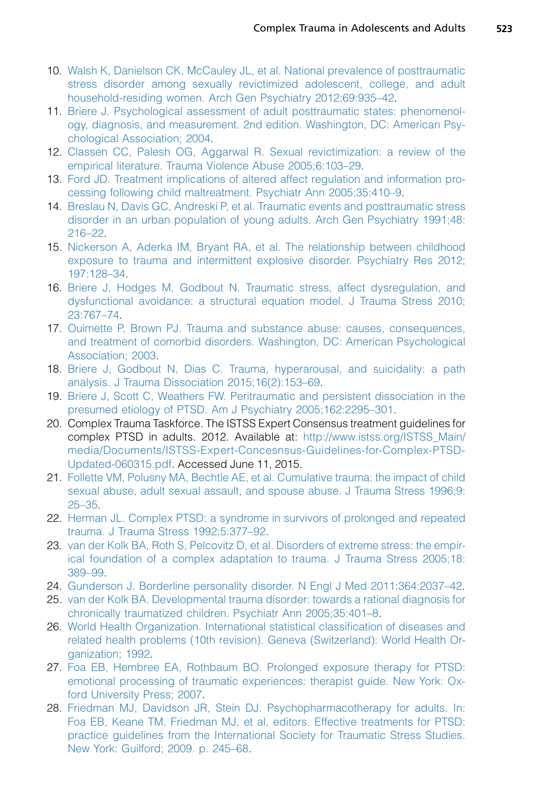- <span id="page-9-0"></span>10. [Walsh K, Danielson CK, McCauley JL, et al. National prevalence of posttraumatic](http://refhub.elsevier.com/S0193-953X(15)00049-0/sref10) [stress disorder among sexually revictimized adolescent, college, and adult](http://refhub.elsevier.com/S0193-953X(15)00049-0/sref10) [household-residing women. Arch Gen Psychiatry 2012;69:935–42.](http://refhub.elsevier.com/S0193-953X(15)00049-0/sref10)
- 11. [Briere J. Psychological assessment of adult posttraumatic states: phenomenol](http://refhub.elsevier.com/S0193-953X(15)00049-0/sref11)[ogy, diagnosis, and measurement. 2nd edition. Washington, DC: American Psy](http://refhub.elsevier.com/S0193-953X(15)00049-0/sref11)[chological Association; 2004](http://refhub.elsevier.com/S0193-953X(15)00049-0/sref11).
- 12. [Classen CC, Palesh OG, Aggarwal R. Sexual revictimization: a review of the](http://refhub.elsevier.com/S0193-953X(15)00049-0/sref12) [empirical literature. Trauma Violence Abuse 2005;6:103–29](http://refhub.elsevier.com/S0193-953X(15)00049-0/sref12).
- 13. [Ford JD. Treatment implications of altered affect regulation and information pro](http://refhub.elsevier.com/S0193-953X(15)00049-0/sref13)[cessing following child maltreatment. Psychiatr Ann 2005;35:410–9.](http://refhub.elsevier.com/S0193-953X(15)00049-0/sref13)
- 14. [Breslau N, Davis GC, Andreski P, et al. Traumatic events and posttraumatic stress](http://refhub.elsevier.com/S0193-953X(15)00049-0/sref14) [disorder in an urban population of young adults. Arch Gen Psychiatry 1991;48:](http://refhub.elsevier.com/S0193-953X(15)00049-0/sref14) [216–22.](http://refhub.elsevier.com/S0193-953X(15)00049-0/sref14)
- 15. [Nickerson A, Aderka IM, Bryant RA, et al. The relationship between childhood](http://refhub.elsevier.com/S0193-953X(15)00049-0/sref15) [exposure to trauma and intermittent explosive disorder. Psychiatry Res 2012;](http://refhub.elsevier.com/S0193-953X(15)00049-0/sref15) [197:128–34](http://refhub.elsevier.com/S0193-953X(15)00049-0/sref15).
- 16. [Briere J, Hodges M, Godbout N. Traumatic stress, affect dysregulation, and](http://refhub.elsevier.com/S0193-953X(15)00049-0/sref16) [dysfunctional avoidance: a structural equation model. J Trauma Stress 2010;](http://refhub.elsevier.com/S0193-953X(15)00049-0/sref16) [23:767–74](http://refhub.elsevier.com/S0193-953X(15)00049-0/sref16).
- 17. [Ouimette P, Brown PJ. Trauma and substance abuse: causes, consequences,](http://refhub.elsevier.com/S0193-953X(15)00049-0/sref17) [and treatment of comorbid disorders. Washington, DC: American Psychological](http://refhub.elsevier.com/S0193-953X(15)00049-0/sref17) [Association; 2003](http://refhub.elsevier.com/S0193-953X(15)00049-0/sref17).
- 18. [Briere J, Godbout N, Dias C. Trauma, hyperarousal, and suicidality: a path](http://refhub.elsevier.com/S0193-953X(15)00049-0/sref90) [analysis. J Trauma Dissociation 2015;16\(2\):153–69.](http://refhub.elsevier.com/S0193-953X(15)00049-0/sref90)
- 19. [Briere J, Scott C, Weathers FW. Peritraumatic and persistent dissociation in the](http://refhub.elsevier.com/S0193-953X(15)00049-0/sref18) [presumed etiology of PTSD. Am J Psychiatry 2005;162:2295–301](http://refhub.elsevier.com/S0193-953X(15)00049-0/sref18).
- 20. Complex Trauma Taskforce. The ISTSS Expert Consensus treatment guidelines for complex PTSD in adults. 2012. Available at: [http://www.istss.org/ISTSS\\_Main/](http://www.istss.org/ISTSS_Main/media/Documents/ISTSS-Expert-Concesnsus-Guidelines-for-Complex-PTSD-Updated-060315.pdf) [media/Documents/ISTSS-Expert-Concesnsus-Guidelines-for-Complex-PTSD-](http://www.istss.org/ISTSS_Main/media/Documents/ISTSS-Expert-Concesnsus-Guidelines-for-Complex-PTSD-Updated-060315.pdf)[Updated-060315.pdf.](http://www.istss.org/ISTSS_Main/media/Documents/ISTSS-Expert-Concesnsus-Guidelines-for-Complex-PTSD-Updated-060315.pdf) Accessed June 11, 2015.
- 21. [Follette VM, Polusny MA, Bechtle AE, et al. Cumulative trauma: the impact of child](http://refhub.elsevier.com/S0193-953X(15)00049-0/sref19) [sexual abuse, adult sexual assault, and spouse abuse. J Trauma Stress 1996;9:](http://refhub.elsevier.com/S0193-953X(15)00049-0/sref19) [25–35](http://refhub.elsevier.com/S0193-953X(15)00049-0/sref19).
- 22. [Herman JL. Complex PTSD: a syndrome in survivors of prolonged and repeated](http://refhub.elsevier.com/S0193-953X(15)00049-0/sref20) [trauma. J Trauma Stress 1992;5:377–92.](http://refhub.elsevier.com/S0193-953X(15)00049-0/sref20)
- 23. [van der Kolk BA, Roth S, Pelcovitz D, et al. Disorders of extreme stress: the empir](http://refhub.elsevier.com/S0193-953X(15)00049-0/sref21)[ical foundation of a complex adaptation to trauma. J Trauma Stress 2005;18:](http://refhub.elsevier.com/S0193-953X(15)00049-0/sref21) [389–99.](http://refhub.elsevier.com/S0193-953X(15)00049-0/sref21)
- 24. [Gunderson J. Borderline personality disorder. N Engl J Med 2011;364:2037–42.](http://refhub.elsevier.com/S0193-953X(15)00049-0/sref22)
- 25. [van der Kolk BA. Developmental trauma disorder: towards a rational diagnosis for](http://refhub.elsevier.com/S0193-953X(15)00049-0/sref23) [chronically traumatized children. Psychiatr Ann 2005;35:401–8](http://refhub.elsevier.com/S0193-953X(15)00049-0/sref23).
- 26. [World Health Organization. International statistical classification of diseases and](http://refhub.elsevier.com/S0193-953X(15)00049-0/sref24) [related health problems \(10th revision\). Geneva \(Switzerland\): World Health Or](http://refhub.elsevier.com/S0193-953X(15)00049-0/sref24)[ganization; 1992](http://refhub.elsevier.com/S0193-953X(15)00049-0/sref24).
- 27. [Foa EB, Hembree EA, Rothbaum BO. Prolonged exposure therapy for PTSD:](http://refhub.elsevier.com/S0193-953X(15)00049-0/sref25) [emotional processing of traumatic experiences: therapist guide. New York: Ox](http://refhub.elsevier.com/S0193-953X(15)00049-0/sref25)[ford University Press; 2007](http://refhub.elsevier.com/S0193-953X(15)00049-0/sref25).
- 28. [Friedman MJ, Davidson JR, Stein DJ. Psychopharmacotherapy for adults. In:](http://refhub.elsevier.com/S0193-953X(15)00049-0/sref26) [Foa EB, Keane TM, Friedman MJ, et al, editors. Effective treatments for PTSD:](http://refhub.elsevier.com/S0193-953X(15)00049-0/sref26) [practice guidelines from the International Society for Traumatic Stress Studies.](http://refhub.elsevier.com/S0193-953X(15)00049-0/sref26) [New York: Guilford; 2009. p. 245–68](http://refhub.elsevier.com/S0193-953X(15)00049-0/sref26).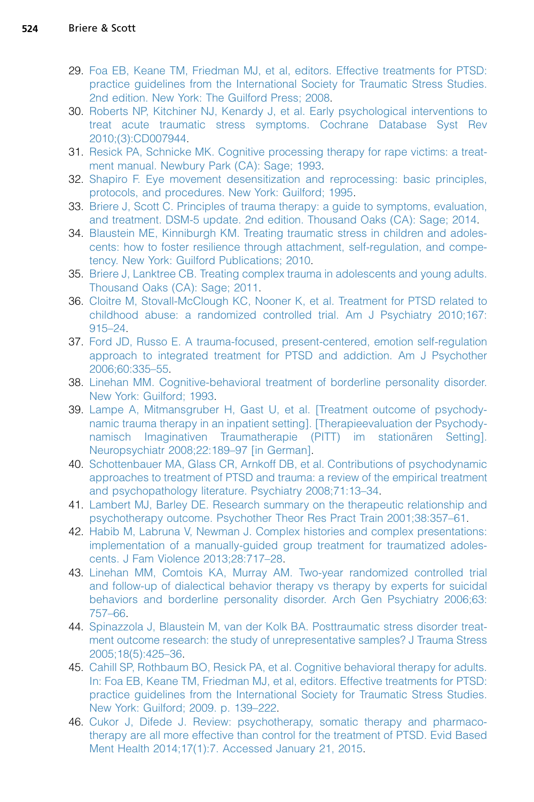- <span id="page-10-0"></span>29. [Foa EB, Keane TM, Friedman MJ, et al, editors. Effective treatments for PTSD:](http://refhub.elsevier.com/S0193-953X(15)00049-0/sref27) [practice guidelines from the International Society for Traumatic Stress Studies.](http://refhub.elsevier.com/S0193-953X(15)00049-0/sref27) [2nd edition. New York: The Guilford Press; 2008.](http://refhub.elsevier.com/S0193-953X(15)00049-0/sref27)
- 30. [Roberts NP, Kitchiner NJ, Kenardy J, et al. Early psychological interventions to](http://refhub.elsevier.com/S0193-953X(15)00049-0/sref28) [treat acute traumatic stress symptoms. Cochrane Database Syst Rev](http://refhub.elsevier.com/S0193-953X(15)00049-0/sref28) [2010;\(3\):CD007944.](http://refhub.elsevier.com/S0193-953X(15)00049-0/sref28)
- 31. [Resick PA, Schnicke MK. Cognitive processing therapy for rape victims: a treat](http://refhub.elsevier.com/S0193-953X(15)00049-0/sref29)[ment manual. Newbury Park \(CA\): Sage; 1993.](http://refhub.elsevier.com/S0193-953X(15)00049-0/sref29)
- 32. [Shapiro F. Eye movement desensitization and reprocessing: basic principles,](http://refhub.elsevier.com/S0193-953X(15)00049-0/sref30) [protocols, and procedures. New York: Guilford; 1995.](http://refhub.elsevier.com/S0193-953X(15)00049-0/sref30)
- 33. [Briere J, Scott C. Principles of trauma therapy: a guide to symptoms, evaluation,](http://refhub.elsevier.com/S0193-953X(15)00049-0/sref31) [and treatment. DSM-5 update. 2nd edition. Thousand Oaks \(CA\): Sage; 2014.](http://refhub.elsevier.com/S0193-953X(15)00049-0/sref31)
- 34. [Blaustein ME, Kinniburgh KM. Treating traumatic stress in children and adoles](http://refhub.elsevier.com/S0193-953X(15)00049-0/sref32)[cents: how to foster resilience through attachment, self-regulation, and compe](http://refhub.elsevier.com/S0193-953X(15)00049-0/sref32)[tency. New York: Guilford Publications; 2010](http://refhub.elsevier.com/S0193-953X(15)00049-0/sref32).
- 35. [Briere J, Lanktree CB. Treating complex trauma in adolescents and young adults.](http://refhub.elsevier.com/S0193-953X(15)00049-0/sref33) [Thousand Oaks \(CA\): Sage; 2011](http://refhub.elsevier.com/S0193-953X(15)00049-0/sref33).
- 36. [Cloitre M, Stovall-McClough KC, Nooner K, et al. Treatment for PTSD related to](http://refhub.elsevier.com/S0193-953X(15)00049-0/sref34) [childhood abuse: a randomized controlled trial. Am J Psychiatry 2010;167:](http://refhub.elsevier.com/S0193-953X(15)00049-0/sref34) [915–24.](http://refhub.elsevier.com/S0193-953X(15)00049-0/sref34)
- 37. [Ford JD, Russo E. A trauma-focused, present-centered, emotion self-regulation](http://refhub.elsevier.com/S0193-953X(15)00049-0/sref35) [approach to integrated treatment for PTSD and addiction. Am J Psychother](http://refhub.elsevier.com/S0193-953X(15)00049-0/sref35) [2006;60:335–55](http://refhub.elsevier.com/S0193-953X(15)00049-0/sref35).
- 38. [Linehan MM. Cognitive-behavioral treatment of borderline personality disorder.](http://refhub.elsevier.com/S0193-953X(15)00049-0/sref36) [New York: Guilford; 1993.](http://refhub.elsevier.com/S0193-953X(15)00049-0/sref36)
- 39. [Lampe A, Mitmansgruber H, Gast U, et al. \[Treatment outcome of psychody](http://refhub.elsevier.com/S0193-953X(15)00049-0/sref37)[namic trauma therapy in an inpatient setting\]. \[Therapieevaluation der Psychody](http://refhub.elsevier.com/S0193-953X(15)00049-0/sref37)namisch Imaginativen Traumatherapie (PITT) im stationären Setting]. [Neuropsychiatr 2008;22:189–97 \[in German\].](http://refhub.elsevier.com/S0193-953X(15)00049-0/sref37)
- 40. [Schottenbauer MA, Glass CR, Arnkoff DB, et al. Contributions of psychodynamic](http://refhub.elsevier.com/S0193-953X(15)00049-0/sref38) [approaches to treatment of PTSD and trauma: a review of the empirical treatment](http://refhub.elsevier.com/S0193-953X(15)00049-0/sref38) [and psychopathology literature. Psychiatry 2008;71:13–34](http://refhub.elsevier.com/S0193-953X(15)00049-0/sref38).
- 41. [Lambert MJ, Barley DE. Research summary on the therapeutic relationship and](http://refhub.elsevier.com/S0193-953X(15)00049-0/sref39) [psychotherapy outcome. Psychother Theor Res Pract Train 2001;38:357–61](http://refhub.elsevier.com/S0193-953X(15)00049-0/sref39).
- 42. [Habib M, Labruna V, Newman J. Complex histories and complex presentations:](http://refhub.elsevier.com/S0193-953X(15)00049-0/sref40) [implementation of a manually-guided group treatment for traumatized adoles](http://refhub.elsevier.com/S0193-953X(15)00049-0/sref40)[cents. J Fam Violence 2013;28:717–28.](http://refhub.elsevier.com/S0193-953X(15)00049-0/sref40)
- 43. [Linehan MM, Comtois KA, Murray AM. Two-year randomized controlled trial](http://refhub.elsevier.com/S0193-953X(15)00049-0/sref41) [and follow-up of dialectical behavior therapy vs therapy by experts for suicidal](http://refhub.elsevier.com/S0193-953X(15)00049-0/sref41) [behaviors and borderline personality disorder. Arch Gen Psychiatry 2006;63:](http://refhub.elsevier.com/S0193-953X(15)00049-0/sref41) [757–66.](http://refhub.elsevier.com/S0193-953X(15)00049-0/sref41)
- 44. [Spinazzola J, Blaustein M, van der Kolk BA. Posttraumatic stress disorder treat](http://refhub.elsevier.com/S0193-953X(15)00049-0/sref42)[ment outcome research: the study of unrepresentative samples? J Trauma Stress](http://refhub.elsevier.com/S0193-953X(15)00049-0/sref42) [2005;18\(5\):425–36](http://refhub.elsevier.com/S0193-953X(15)00049-0/sref42).
- 45. [Cahill SP, Rothbaum BO, Resick PA, et al. Cognitive behavioral therapy for adults.](http://refhub.elsevier.com/S0193-953X(15)00049-0/sref43) [In: Foa EB, Keane TM, Friedman MJ, et al, editors. Effective treatments for PTSD:](http://refhub.elsevier.com/S0193-953X(15)00049-0/sref43) [practice guidelines from the International Society for Traumatic Stress Studies.](http://refhub.elsevier.com/S0193-953X(15)00049-0/sref43) [New York: Guilford; 2009. p. 139–222.](http://refhub.elsevier.com/S0193-953X(15)00049-0/sref43)
- 46. [Cukor J, Difede J. Review: psychotherapy, somatic therapy and pharmaco](http://refhub.elsevier.com/S0193-953X(15)00049-0/sref44)[therapy are all more effective than control for the treatment of PTSD. Evid Based](http://refhub.elsevier.com/S0193-953X(15)00049-0/sref44) [Ment Health 2014;17\(1\):7. Accessed January 21, 2015](http://refhub.elsevier.com/S0193-953X(15)00049-0/sref44).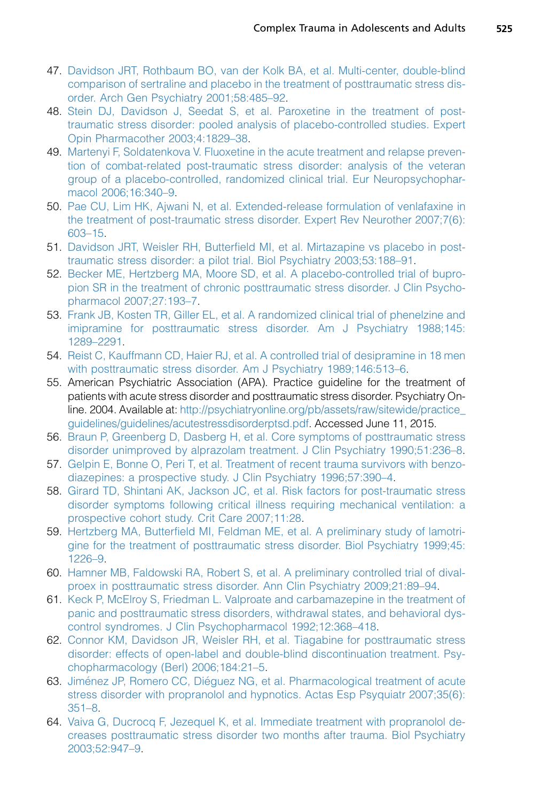- <span id="page-11-0"></span>47. [Davidson JRT, Rothbaum BO, van der Kolk BA, et al. Multi-center, double-blind](http://refhub.elsevier.com/S0193-953X(15)00049-0/sref45) [comparison of sertraline and placebo in the treatment of posttraumatic stress dis](http://refhub.elsevier.com/S0193-953X(15)00049-0/sref45)[order. Arch Gen Psychiatry 2001;58:485–92.](http://refhub.elsevier.com/S0193-953X(15)00049-0/sref45)
- 48. [Stein DJ, Davidson J, Seedat S, et al. Paroxetine in the treatment of post](http://refhub.elsevier.com/S0193-953X(15)00049-0/sref46)[traumatic stress disorder: pooled analysis of placebo-controlled studies. Expert](http://refhub.elsevier.com/S0193-953X(15)00049-0/sref46) [Opin Pharmacother 2003;4:1829–38](http://refhub.elsevier.com/S0193-953X(15)00049-0/sref46).
- 49. [Martenyi F, Soldatenkova V. Fluoxetine in the acute treatment and relapse preven](http://refhub.elsevier.com/S0193-953X(15)00049-0/sref47)[tion of combat-related post-traumatic stress disorder: analysis of the veteran](http://refhub.elsevier.com/S0193-953X(15)00049-0/sref47) [group of a placebo-controlled, randomized clinical trial. Eur Neuropsychophar](http://refhub.elsevier.com/S0193-953X(15)00049-0/sref47)[macol 2006;16:340–9](http://refhub.elsevier.com/S0193-953X(15)00049-0/sref47).
- 50. [Pae CU, Lim HK, Ajwani N, et al. Extended-release formulation of venlafaxine in](http://refhub.elsevier.com/S0193-953X(15)00049-0/sref48) [the treatment of post-traumatic stress disorder. Expert Rev Neurother 2007;7\(6\):](http://refhub.elsevier.com/S0193-953X(15)00049-0/sref48) [603–15.](http://refhub.elsevier.com/S0193-953X(15)00049-0/sref48)
- 51. [Davidson JRT, Weisler RH, Butterfield MI, et al. Mirtazapine vs placebo in post](http://refhub.elsevier.com/S0193-953X(15)00049-0/sref49)[traumatic stress disorder: a pilot trial. Biol Psychiatry 2003;53:188–91](http://refhub.elsevier.com/S0193-953X(15)00049-0/sref49).
- 52. [Becker ME, Hertzberg MA, Moore SD, et al. A placebo-controlled trial of bupro](http://refhub.elsevier.com/S0193-953X(15)00049-0/sref50)[pion SR in the treatment of chronic posttraumatic stress disorder. J Clin Psycho](http://refhub.elsevier.com/S0193-953X(15)00049-0/sref50)[pharmacol 2007;27:193–7.](http://refhub.elsevier.com/S0193-953X(15)00049-0/sref50)
- 53. [Frank JB, Kosten TR, Giller EL, et al. A randomized clinical trial of phenelzine and](http://refhub.elsevier.com/S0193-953X(15)00049-0/sref51) [imipramine for posttraumatic stress disorder. Am J Psychiatry 1988;145:](http://refhub.elsevier.com/S0193-953X(15)00049-0/sref51) [1289–2291.](http://refhub.elsevier.com/S0193-953X(15)00049-0/sref51)
- 54. [Reist C, Kauffmann CD, Haier RJ, et al. A controlled trial of desipramine in 18 men](http://refhub.elsevier.com/S0193-953X(15)00049-0/sref52) [with posttraumatic stress disorder. Am J Psychiatry 1989;146:513–6](http://refhub.elsevier.com/S0193-953X(15)00049-0/sref52).
- 55. American Psychiatric Association (APA). Practice guideline for the treatment of patients with acute stress disorder and posttraumatic stress disorder. Psychiatry Online. 2004. Available at: [http://psychiatryonline.org/pb/assets/raw/sitewide/practice\\_](http://psychiatryonline.org/pb/assets/raw/sitewide/practice_guidelines/guidelines/acutestressdisorderptsd.pdf) [guidelines/guidelines/acutestressdisorderptsd.pdf.](http://psychiatryonline.org/pb/assets/raw/sitewide/practice_guidelines/guidelines/acutestressdisorderptsd.pdf) Accessed June 11, 2015.
- 56. [Braun P, Greenberg D, Dasberg H, et al. Core symptoms of posttraumatic stress](http://refhub.elsevier.com/S0193-953X(15)00049-0/sref53) [disorder unimproved by alprazolam treatment. J Clin Psychiatry 1990;51:236–8](http://refhub.elsevier.com/S0193-953X(15)00049-0/sref53).
- 57. [Gelpin E, Bonne O, Peri T, et al. Treatment of recent trauma survivors with benzo](http://refhub.elsevier.com/S0193-953X(15)00049-0/sref54)[diazepines: a prospective study. J Clin Psychiatry 1996;57:390–4.](http://refhub.elsevier.com/S0193-953X(15)00049-0/sref54)
- 58. [Girard TD, Shintani AK, Jackson JC, et al. Risk factors for post-traumatic stress](http://refhub.elsevier.com/S0193-953X(15)00049-0/sref55) [disorder symptoms following critical illness requiring mechanical ventilation: a](http://refhub.elsevier.com/S0193-953X(15)00049-0/sref55) [prospective cohort study. Crit Care 2007;11:28.](http://refhub.elsevier.com/S0193-953X(15)00049-0/sref55)
- 59. [Hertzberg MA, Butterfield MI, Feldman ME, et al. A preliminary study of lamotri](http://refhub.elsevier.com/S0193-953X(15)00049-0/sref56)[gine for the treatment of posttraumatic stress disorder. Biol Psychiatry 1999;45:](http://refhub.elsevier.com/S0193-953X(15)00049-0/sref56) [1226–9.](http://refhub.elsevier.com/S0193-953X(15)00049-0/sref56)
- 60. [Hamner MB, Faldowski RA, Robert S, et al. A preliminary controlled trial of dival](http://refhub.elsevier.com/S0193-953X(15)00049-0/sref57)[proex in posttraumatic stress disorder. Ann Clin Psychiatry 2009;21:89–94](http://refhub.elsevier.com/S0193-953X(15)00049-0/sref57).
- 61. [Keck P, McElroy S, Friedman L. Valproate and carbamazepine in the treatment of](http://refhub.elsevier.com/S0193-953X(15)00049-0/sref58) [panic and posttraumatic stress disorders, withdrawal states, and behavioral dys](http://refhub.elsevier.com/S0193-953X(15)00049-0/sref58)[control syndromes. J Clin Psychopharmacol 1992;12:368–418](http://refhub.elsevier.com/S0193-953X(15)00049-0/sref58).
- 62. [Connor KM, Davidson JR, Weisler RH, et al. Tiagabine for posttraumatic stress](http://refhub.elsevier.com/S0193-953X(15)00049-0/sref59) [disorder: effects of open-label and double-blind discontinuation treatment. Psy](http://refhub.elsevier.com/S0193-953X(15)00049-0/sref59)[chopharmacology \(Berl\) 2006;184:21–5](http://refhub.elsevier.com/S0193-953X(15)00049-0/sref59).
- 63. Jiménez JP, Romero CC, Diéguez NG, et al. Pharmacological treatment of acute [stress disorder with propranolol and hypnotics. Actas Esp Psyquiatr 2007;35\(6\):](http://refhub.elsevier.com/S0193-953X(15)00049-0/sref60) [351–8](http://refhub.elsevier.com/S0193-953X(15)00049-0/sref60).
- 64. [Vaiva G, Ducrocq F, Jezequel K, et al. Immediate treatment with propranolol de](http://refhub.elsevier.com/S0193-953X(15)00049-0/sref61)[creases posttraumatic stress disorder two months after trauma. Biol Psychiatry](http://refhub.elsevier.com/S0193-953X(15)00049-0/sref61) [2003;52:947–9.](http://refhub.elsevier.com/S0193-953X(15)00049-0/sref61)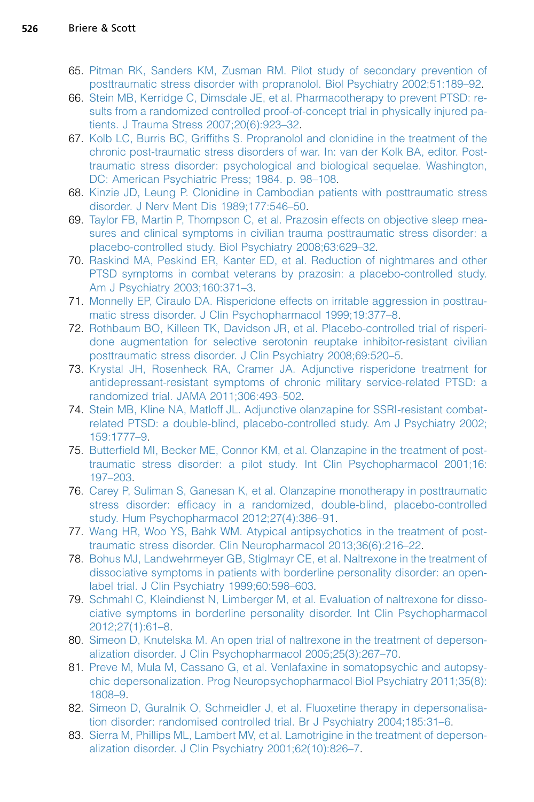- <span id="page-12-0"></span>65. [Pitman RK, Sanders KM, Zusman RM. Pilot study of secondary prevention of](http://refhub.elsevier.com/S0193-953X(15)00049-0/sref62) [posttraumatic stress disorder with propranolol. Biol Psychiatry 2002;51:189–92](http://refhub.elsevier.com/S0193-953X(15)00049-0/sref62).
- 66. [Stein MB, Kerridge C, Dimsdale JE, et al. Pharmacotherapy to prevent PTSD: re](http://refhub.elsevier.com/S0193-953X(15)00049-0/sref63)[sults from a randomized controlled proof-of-concept trial in physically injured pa](http://refhub.elsevier.com/S0193-953X(15)00049-0/sref63)[tients. J Trauma Stress 2007;20\(6\):923–32.](http://refhub.elsevier.com/S0193-953X(15)00049-0/sref63)
- 67. [Kolb LC, Burris BC, Griffiths S. Propranolol and clonidine in the treatment of the](http://refhub.elsevier.com/S0193-953X(15)00049-0/sref64) [chronic post-traumatic stress disorders of war. In: van der Kolk BA, editor. Post](http://refhub.elsevier.com/S0193-953X(15)00049-0/sref64)[traumatic stress disorder: psychological and biological sequelae. Washington,](http://refhub.elsevier.com/S0193-953X(15)00049-0/sref64) [DC: American Psychiatric Press; 1984. p. 98–108](http://refhub.elsevier.com/S0193-953X(15)00049-0/sref64).
- 68. [Kinzie JD, Leung P. Clonidine in Cambodian patients with posttraumatic stress](http://refhub.elsevier.com/S0193-953X(15)00049-0/sref65) [disorder. J Nerv Ment Dis 1989;177:546–50](http://refhub.elsevier.com/S0193-953X(15)00049-0/sref65).
- 69. [Taylor FB, Martin P, Thompson C, et al. Prazosin effects on objective sleep mea](http://refhub.elsevier.com/S0193-953X(15)00049-0/sref66)[sures and clinical symptoms in civilian trauma posttraumatic stress disorder: a](http://refhub.elsevier.com/S0193-953X(15)00049-0/sref66) [placebo-controlled study. Biol Psychiatry 2008;63:629–32.](http://refhub.elsevier.com/S0193-953X(15)00049-0/sref66)
- 70. [Raskind MA, Peskind ER, Kanter ED, et al. Reduction of nightmares and other](http://refhub.elsevier.com/S0193-953X(15)00049-0/sref67) [PTSD symptoms in combat veterans by prazosin: a placebo-controlled study.](http://refhub.elsevier.com/S0193-953X(15)00049-0/sref67) [Am J Psychiatry 2003;160:371–3.](http://refhub.elsevier.com/S0193-953X(15)00049-0/sref67)
- 71. [Monnelly EP, Ciraulo DA. Risperidone effects on irritable aggression in posttrau](http://refhub.elsevier.com/S0193-953X(15)00049-0/sref68)[matic stress disorder. J Clin Psychopharmacol 1999;19:377–8.](http://refhub.elsevier.com/S0193-953X(15)00049-0/sref68)
- 72. [Rothbaum BO, Killeen TK, Davidson JR, et al. Placebo-controlled trial of risperi](http://refhub.elsevier.com/S0193-953X(15)00049-0/sref69)[done augmentation for selective serotonin reuptake inhibitor-resistant civilian](http://refhub.elsevier.com/S0193-953X(15)00049-0/sref69) [posttraumatic stress disorder. J Clin Psychiatry 2008;69:520–5.](http://refhub.elsevier.com/S0193-953X(15)00049-0/sref69)
- 73. [Krystal JH, Rosenheck RA, Cramer JA. Adjunctive risperidone treatment for](http://refhub.elsevier.com/S0193-953X(15)00049-0/sref70) [antidepressant-resistant symptoms of chronic military service-related PTSD: a](http://refhub.elsevier.com/S0193-953X(15)00049-0/sref70) [randomized trial. JAMA 2011;306:493–502.](http://refhub.elsevier.com/S0193-953X(15)00049-0/sref70)
- 74. [Stein MB, Kline NA, Matloff JL. Adjunctive olanzapine for SSRI-resistant combat](http://refhub.elsevier.com/S0193-953X(15)00049-0/sref71)[related PTSD: a double-blind, placebo-controlled study. Am J Psychiatry 2002;](http://refhub.elsevier.com/S0193-953X(15)00049-0/sref71) [159:1777–9.](http://refhub.elsevier.com/S0193-953X(15)00049-0/sref71)
- 75. [Butterfield MI, Becker ME, Connor KM, et al. Olanzapine in the treatment of post](http://refhub.elsevier.com/S0193-953X(15)00049-0/sref72)[traumatic stress disorder: a pilot study. Int Clin Psychopharmacol 2001;16:](http://refhub.elsevier.com/S0193-953X(15)00049-0/sref72) [197–203.](http://refhub.elsevier.com/S0193-953X(15)00049-0/sref72)
- 76. [Carey P, Suliman S, Ganesan K, et al. Olanzapine monotherapy in posttraumatic](http://refhub.elsevier.com/S0193-953X(15)00049-0/sref73) [stress disorder: efficacy in a randomized, double-blind, placebo-controlled](http://refhub.elsevier.com/S0193-953X(15)00049-0/sref73) [study. Hum Psychopharmacol 2012;27\(4\):386–91.](http://refhub.elsevier.com/S0193-953X(15)00049-0/sref73)
- 77. [Wang HR, Woo YS, Bahk WM. Atypical antipsychotics in the treatment of post](http://refhub.elsevier.com/S0193-953X(15)00049-0/sref74)[traumatic stress disorder. Clin Neuropharmacol 2013;36\(6\):216–22.](http://refhub.elsevier.com/S0193-953X(15)00049-0/sref74)
- 78. [Bohus MJ, Landwehrmeyer GB, Stiglmayr CE, et al. Naltrexone in the treatment of](http://refhub.elsevier.com/S0193-953X(15)00049-0/sref75) [dissociative symptoms in patients with borderline personality disorder: an open](http://refhub.elsevier.com/S0193-953X(15)00049-0/sref75)[label trial. J Clin Psychiatry 1999;60:598–603.](http://refhub.elsevier.com/S0193-953X(15)00049-0/sref75)
- 79. [Schmahl C, Kleindienst N, Limberger M, et al. Evaluation of naltrexone for disso](http://refhub.elsevier.com/S0193-953X(15)00049-0/sref76)[ciative symptoms in borderline personality disorder. Int Clin Psychopharmacol](http://refhub.elsevier.com/S0193-953X(15)00049-0/sref76) [2012;27\(1\):61–8](http://refhub.elsevier.com/S0193-953X(15)00049-0/sref76).
- 80. [Simeon D, Knutelska M. An open trial of naltrexone in the treatment of deperson](http://refhub.elsevier.com/S0193-953X(15)00049-0/sref77)[alization disorder. J Clin Psychopharmacol 2005;25\(3\):267–70.](http://refhub.elsevier.com/S0193-953X(15)00049-0/sref77)
- 81. [Preve M, Mula M, Cassano G, et al. Venlafaxine in somatopsychic and autopsy](http://refhub.elsevier.com/S0193-953X(15)00049-0/sref78)[chic depersonalization. Prog Neuropsychopharmacol Biol Psychiatry 2011;35\(8\):](http://refhub.elsevier.com/S0193-953X(15)00049-0/sref78) [1808–9.](http://refhub.elsevier.com/S0193-953X(15)00049-0/sref78)
- 82. [Simeon D, Guralnik O, Schmeidler J, et al. Fluoxetine therapy in depersonalisa](http://refhub.elsevier.com/S0193-953X(15)00049-0/sref79)[tion disorder: randomised controlled trial. Br J Psychiatry 2004;185:31–6](http://refhub.elsevier.com/S0193-953X(15)00049-0/sref79).
- 83. [Sierra M, Phillips ML, Lambert MV, et al. Lamotrigine in the treatment of deperson](http://refhub.elsevier.com/S0193-953X(15)00049-0/sref80)[alization disorder. J Clin Psychiatry 2001;62\(10\):826–7](http://refhub.elsevier.com/S0193-953X(15)00049-0/sref80).